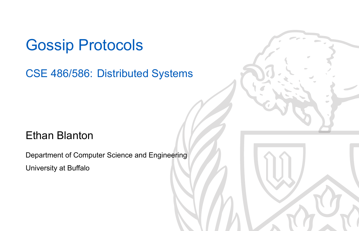### Gossip Protocols

#### CSE 486/586: Distributed Systems

#### Ethan Blanton

Department of Computer Science and Engineering University at Buffalo

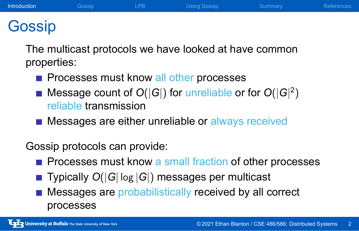### Gossip

The multicast protocols we have looked at have common properties:

**Introduction** Cossip LPB Using Gossip Summary References

- Processes must know all other processes
- Message count of *O*(*|G|*) for unreliable or for *O*(*|G|* 2 ) reliable transmission
- **Messages are either unreliable or always received**

#### Gossip protocols can provide:

- $\blacksquare$  Processes must know a small fraction of other processes
- Typically  $O(|G| \log |G|)$  messages per multicast
- **Messages are probabilistically received by all correct** processes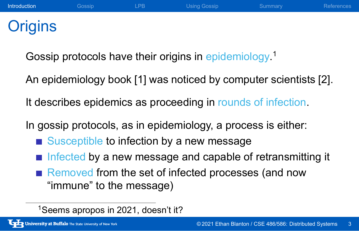### **Origins**

Gossip protocols have their origins in epidemiology.<sup>1</sup>

An epidemiology book [1] was noticed by computer scientists [2].

**Introduction** Gossip LPB Using Gossip Summary References

It describes epidemics as proceeding in rounds of infection.

In gossip protocols, as in epidemiology, a process is either:

- Susceptible to infection by a new message
- $\blacksquare$  Infected by a new message and capable of retransmitting it
- Removed from the set of infected processes (and now "immune" to the message)

<sup>1</sup>Seems apropos in 2021, doesn't it?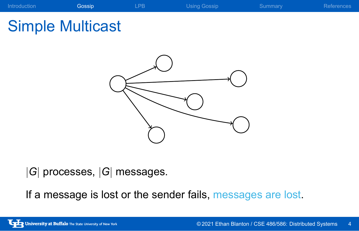#### Introduction **Gossip Constant Constant COSS CONSTANT CONSTANT CONSTANT CONSTANT CONSTANT CONSTANT CONSTANT CONST**

# Simple Multicast



*|G|* processes, *|G|* messages.

If a message is lost or the sender fails, messages are lost.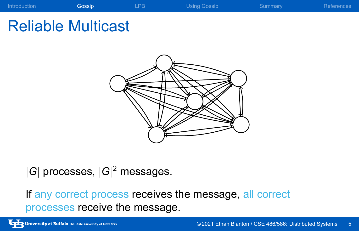#### Introduction **Gossip Constant Constant COSS CONSTANT CONSTANT CONSTANT CONSTANT CONSTANT CONSTANT CONSTANT CONST**

# Reliable Multicast



*|G|* processes, *|G|* <sup>2</sup> messages.

If any correct process receives the message, all correct processes receive the message.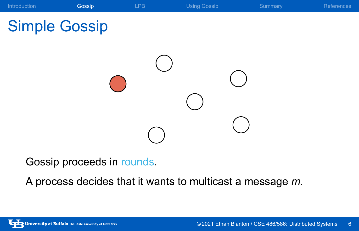

Gossip proceeds in rounds.

A process decides that it wants to multicast a message *m*.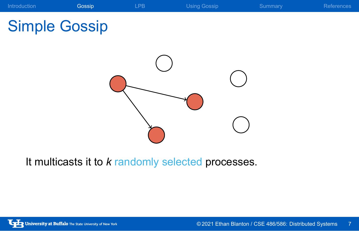

It multicasts it to *k* randomly selected processes.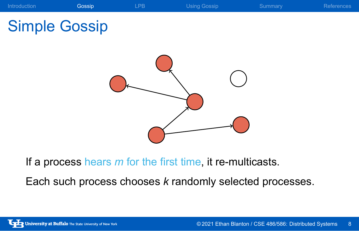

If a process hears *m* for the first time, it re-multicasts.

Each such process chooses *k* randomly selected processes.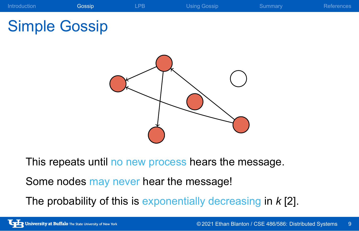

University at Buffalo The State University of New York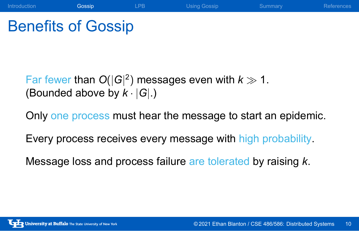## Benefits of Gossip

Far fewer than  $O(|G|^2)$  messages even with  $k \gg 1$ . (Bounded above by *k · |G|*.)

Only one process must hear the message to start an epidemic.

Introduction **Gossip LPB** Using Gossip Summary References

Every process receives every message with high probability.

Message loss and process failure are tolerated by raising *k*.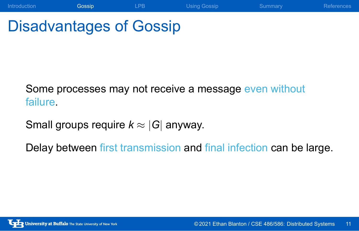# Disadvantages of Gossip

Some processes may not receive a message even without failure.

Small groups require *k ≈ |G|* anyway.

Delay between first transmission and final infection can be large.

Introduction **Gossip LPB** Using Gossip Summary References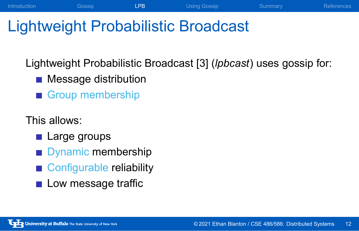# Lightweight Probabilistic Broadcast

Lightweight Probabilistic Broadcast [3] (*lpbcast*) uses gossip for:

Introduction Cossip **LPB** Using Gossip Summary References

- **Message distribution**
- Group membership

This allows:

- **Large groups**
- Dynamic membership
- Configurable reliability
- Low message traffic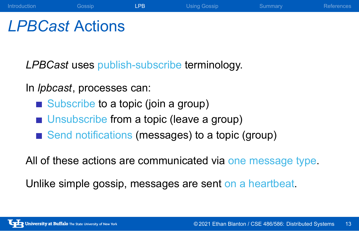### *LPBCast* Actions

*LPBCast* uses publish-subscribe terminology.

#### In *lpbcast*, processes can:

- Subscribe to a topic (join a group)
- **Unsubscribe from a topic (leave a group)**
- Send notifications (messages) to a topic (group)

All of these actions are communicated via one message type.

Introduction Cossip **LPB** Using Gossip Summary References

Unlike simple gossip, messages are sent on a heartbeat.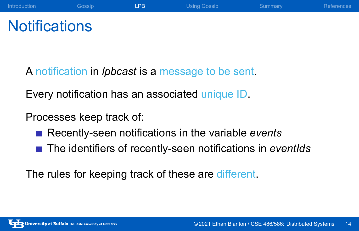## **Notifications**

A notification in *lpbcast* is a message to be sent.

Every notification has an associated unique ID.

Processes keep track of:

- Recently-seen notifications in the variable *events*
- The identifiers of recently-seen notifications in *eventIds*

Introduction Cossip **LPB** Using Gossip Summary References

The rules for keeping track of these are different.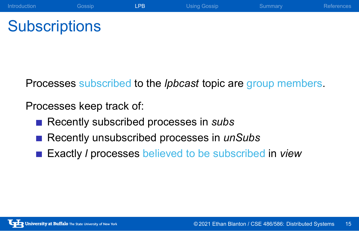# **Subscriptions**

Processes subscribed to the *lpbcast* topic are group members.

Introduction Cossip **LPB** Using Gossip Summary References

Processes keep track of:

- Recently subscribed processes in *subs*
- Recently unsubscribed processes in *unSubs*
- Exactly *l* processes believed to be subscribed in *view*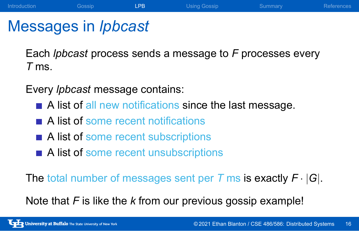### Messages in *lpbcast*

Each *lpbcast* process sends a message to *F* processes every *T* ms.

Introduction **Gossip LPB** Using Gossip Summary References

Every *lpbcast* message contains:

- A list of all new notifications since the last message.
- A list of some recent notifications
- A list of some recent subscriptions
- A list of some recent unsubscriptions

The total number of messages sent per *T* ms is exactly *F · |G|*.

Note that *F* is like the *k* from our previous gossip example!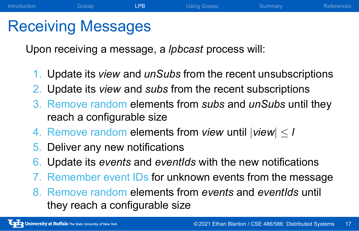### Receiving Messages

Upon receiving a message, a *lpbcast* process will:

1. Update its *view* and *unSubs* from the recent unsubscriptions

Introduction Gossip **LPB** Using Gossip Summary References

- 2. Update its *view* and *subs* from the recent subscriptions
- 3. Remove random elements from *subs* and *unSubs* until they reach a configurable size
- 4. Remove random elements from *view* until  $|$ *view* $| \leq l$
- 5. Deliver any new notifications
- 6. Update its *events* and *eventIds* with the new notifications
- 7. Remember event IDs for unknown events from the message
- 8. Remove random elements from *events* and *eventIds* until they reach a configurable size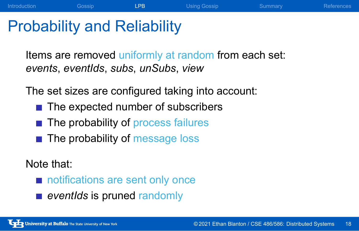# Probability and Reliability

Items are removed uniformly at random from each set: *events*, *eventIds*, *subs*, *unSubs*, *view*

Introduction Cossip **LPB** Using Gossip Summary References

The set sizes are configured taking into account:

- The expected number of subscribers
- The probability of process failures
- The probability of message loss

#### Note that:

- notifications are sent only once
- **exentIds** is pruned randomly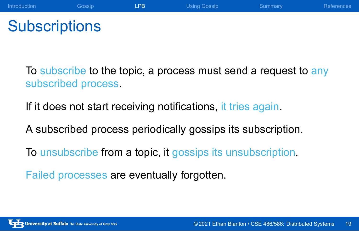## **Subscriptions**

To subscribe to the topic, a process must send a request to any subscribed process.

Introduction Cossip **LPB** Using Gossip Summary References

If it does not start receiving notifications, it tries again.

A subscribed process periodically gossips its subscription.

To unsubscribe from a topic, it gossips its unsubscription.

Failed processes are eventually forgotten.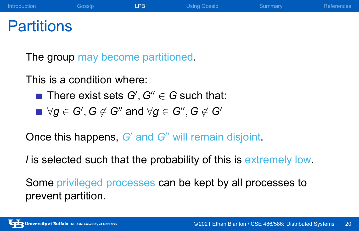### **Partitions**

The group may become partitioned.

This is a condition where:

- There exist sets  $G', G'' \in G$  such that:
- *∀g ∈ G′ , G ̸∈ G′′* and *∀g ∈ G′′ , G ̸∈ G′*

Once this happens, *G′* and *G′′* will remain disjoint.

*l* is selected such that the probability of this is extremely low.

Introduction Cossip **LPB** Using Gossip Summary References

Some privileged processes can be kept by all processes to prevent partition.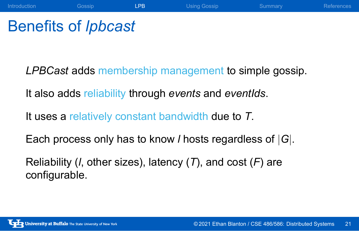## Benefits of *lpbcast*

*LPBCast* adds membership management to simple gossip.

Introduction Cossip **LPB** Using Gossip Summary References

It also adds reliability through *events* and *eventIds*.

It uses a relatively constant bandwidth due to *T*.

Each process only has to know *l* hosts regardless of *|G|*.

Reliability (*l*, other sizes), latency (*T*), and cost (*F*) are configurable.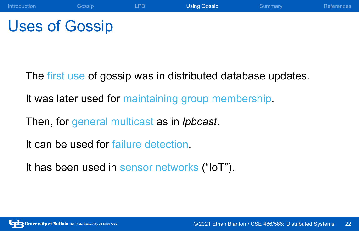# Uses of Gossip

The first use of gossip was in distributed database updates.

Introduction Cossip LPB Using Gossip Summary References

It was later used for maintaining group membership.

Then, for general multicast as in *lpbcast*.

It can be used for failure detection.

It has been used in sensor networks ("IoT").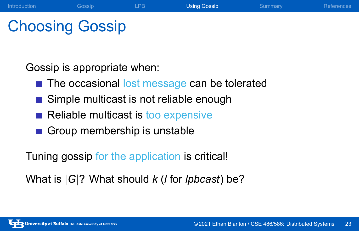## Choosing Gossip

Gossip is appropriate when:

■ The occasional lost message can be tolerated

Introduction Cossip LPB Using Gossip Summary References

- Simple multicast is not reliable enough
- Reliable multicast is too expensive
- Group membership is unstable

Tuning gossip for the application is critical!

What is *|G|*? What should *k* (*l* for *lpbcast*) be?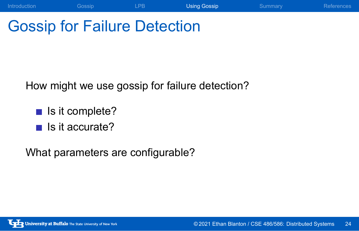# Gossip for Failure Detection

How might we use gossip for failure detection?

Introduction Cossip LPB Using Gossip Summary References

- $\blacksquare$  Is it complete?
- $\blacksquare$  Is it accurate?

What parameters are configurable?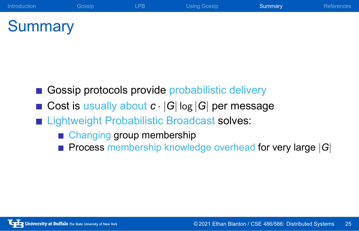## **Summary**

- Gossip protocols provide probabilistic delivery
- Cost is usually about  $c \cdot |G| \log |G|$  per message

Introduction Cossip LPB Using Gossip Summary References

- **Example 1** Lightweight Probabilistic Broadcast solves:
	- **Changing group membership**
	- Process membership knowledge overhead for very large *|G|*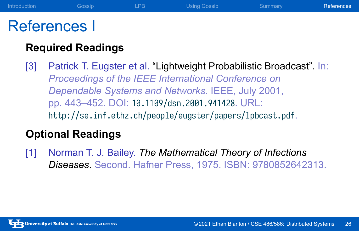### References I

#### **Required Readings**

[3] Patrick T. Eugster et al. "Lightweight Probabilistic Broadcast". In: *Proceedings of the IEEE International Conference on Dependable Systems and Networks*. IEEE, July 2001, pp. 443–452. DOI: 10.1109/dsn.2001.941428. URL: http://se.inf.ethz.ch/people/eugster/papers/lpbcast.pdf.

Introduction Cossip LPB Using Gossip Summary References

#### **Optional Readings**

[1] Norman T. J. Bailey. *The Mathematical Theory of Infections Diseases*. Second. Hafner Press, 1975. ISBN: 9780852642313.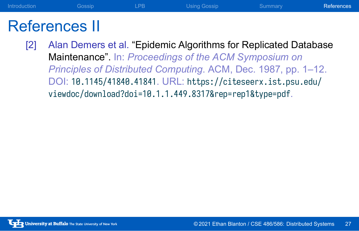### References II

[2] Alan Demers et al. "Epidemic Algorithms for Replicated Database Maintenance". In: *Proceedings of the ACM Symposium on Principles of Distributed Computing*. ACM, Dec. 1987, pp. 1–12. DOI: 10.1145/41840.41841. URL: https://citeseerx.ist.psu.edu/ viewdoc/download?doi=10.1.1.449.8317&rep=rep1&type=pdf.

Introduction Cossip LPB Using Gossip Summary References